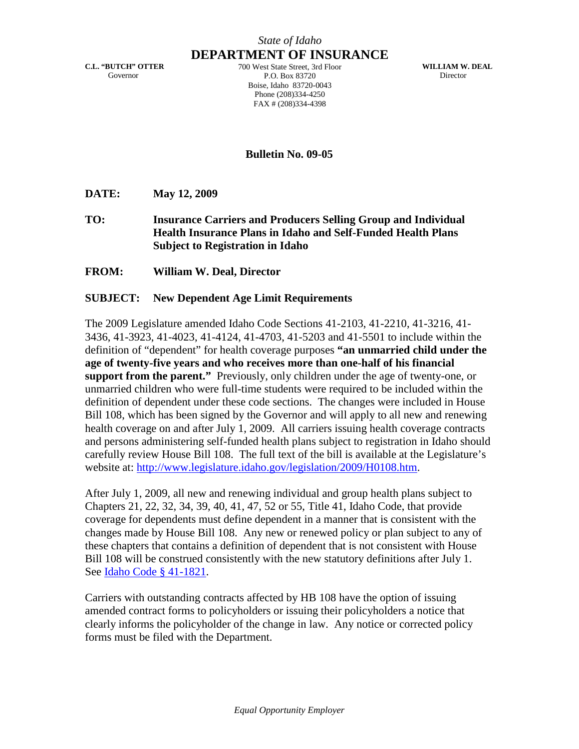**C.L. "BUTCH" OTTER** Governor

**DEPARTMENT OF INSURANCE** 700 West State Street, 3rd Floor P.O. Box 83720 Boise, Idaho 83720-0043 Phone (208)334-4250 FAX # (208)334-4398

**WILLIAM W. DEAL** Director

**Bulletin No. 09-05**

**DATE: May 12, 2009**

**TO: Insurance Carriers and Producers Selling Group and Individual Health Insurance Plans in Idaho and Self-Funded Health Plans Subject to Registration in Idaho**

**FROM: William W. Deal, Director**

## **SUBJECT: New Dependent Age Limit Requirements**

The 2009 Legislature amended Idaho Code Sections 41-2103, 41-2210, 41-3216, 41- 3436, 41-3923, 41-4023, 41-4124, 41-4703, 41-5203 and 41-5501 to include within the definition of "dependent" for health coverage purposes **"an unmarried child under the age of twenty-five years and who receives more than one-half of his financial support from the parent."** Previously, only children under the age of twenty-one, or unmarried children who were full-time students were required to be included within the definition of dependent under these code sections. The changes were included in House Bill 108, which has been signed by the Governor and will apply to all new and renewing health coverage on and after July 1, 2009. All carriers issuing health coverage contracts and persons administering self-funded health plans subject to registration in Idaho should carefully review House Bill 108. The full text of the bill is available at the Legislature's website at: <http://www.legislature.idaho.gov/legislation/2009/H0108.htm>.

After July 1, 2009, all new and renewing individual and group health plans subject to Chapters 21, 22, 32, 34, 39, 40, 41, 47, 52 or 55, Title 41, Idaho Code, that provide coverage for dependents must define dependent in a manner that is consistent with the changes made by House Bill 108. Any new or renewed policy or plan subject to any of these chapters that contains a definition of dependent that is not consistent with House Bill 108 will be construed consistently with the new statutory definitions after July 1. See [Idaho Code § 41-1821](http://www.legislature.idaho.gov/idstat/Title41/T41CH18SECT41-1821.htm).

Carriers with outstanding contracts affected by HB 108 have the option of issuing amended contract forms to policyholders or issuing their policyholders a notice that clearly informs the policyholder of the change in law. Any notice or corrected policy forms must be filed with the Department.